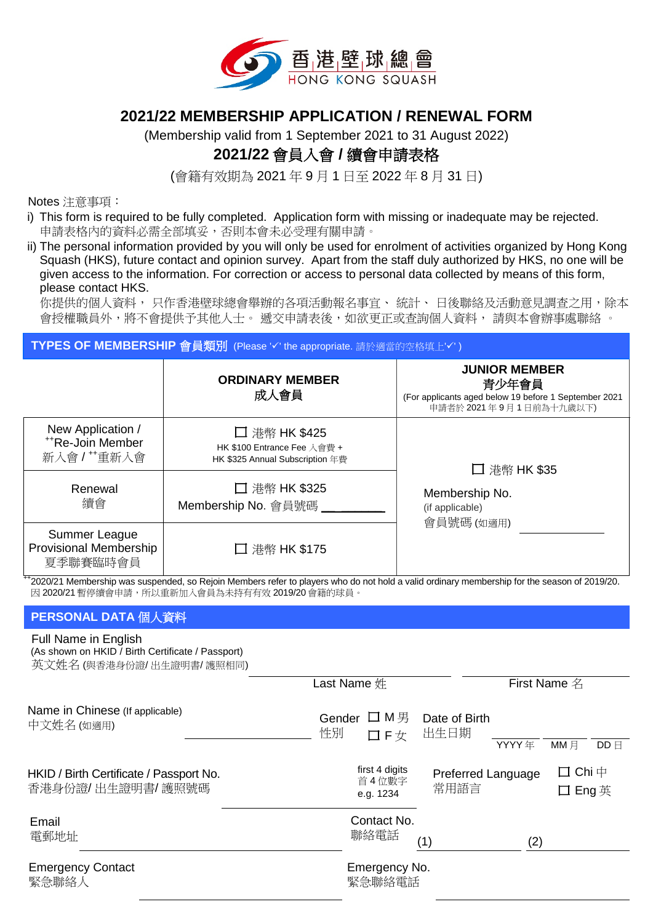

## **2021/22 MEMBERSHIP APPLICATION / RENEWAL FORM**

(Membership valid from 1 September 2021 to 31 August 2022)

# **2021/22** 會員入會 **/** 續會申請表格

(會籍有效期為 2021 年 9 月 1 日至 2022 年 8 月 31 日)

Notes 注意事項:

- i) This form is required to be fully completed. Application form with missing or inadequate may be rejected. 申請表格內的資料必需全部填妥,否則本會未必受理有關申請。
- ii) The personal information provided by you will only be used for enrolment of activities organized by Hong Kong Squash (HKS), future contact and opinion survey. Apart from the staff duly authorized by HKS, no one will be given access to the information. For correction or access to personal data collected by means of this form, please contact HKS.

你提供的個人資料, 只作香港壁球總會舉辦的各項活動報名事宜、 統計、 日後聯絡及活動意見調查之用, 除本 會授權職員外,將不會提供予其他人士。 遞交申請表後,如欲更正或查詢個人資料, 請與本會辦事處聯絡 。

| TYPES OF MEMBERSHIP 會員類別 (Please 'v' the appropriate. 請於適當的空格填上'v') |                                                                                 |                                                                                                                  |  |  |  |
|---------------------------------------------------------------------|---------------------------------------------------------------------------------|------------------------------------------------------------------------------------------------------------------|--|--|--|
|                                                                     | <b>ORDINARY MEMBER</b><br>成人會員                                                  | <b>JUNIOR MEMBER</b><br>青少年會員<br>(For applicants aged below 19 before 1 September 2021<br>申請者於 2021年9月1日前為十九歲以下) |  |  |  |
| New Application /<br><sup>++</sup> Re-Join Member<br>新入會/"重新入會      | □ 港幣 HK \$425<br>HK \$100 Entrance Fee 入會費 +<br>HK \$325 Annual Subscription 年費 | □ 港幣 HK \$35                                                                                                     |  |  |  |
| Renewal<br>續會                                                       | □ 港幣 HK \$325<br>Membership No. 會員號碼                                            | Membership No.<br>(if applicable)<br>會員號碼 (如適用)                                                                  |  |  |  |
| Summer League<br>Provisional Membership<br>夏季聯賽臨時會員                 | □ 港幣 HK \$175                                                                   |                                                                                                                  |  |  |  |

++2020/21 Membership was suspended, so Rejoin Members refer to players who do not hold a valid ordinary membership for the season of 2019/20. 因 2020/21 暫停續會申請,所以重新加入會員為未持有有效 2019/20 會籍的球員。

## **PERSONAL DATA** 個人資料

#### Full Name in English

| (As shown on HKID / Birth Certificate / Passport)<br>英文姓名 (與香港身份證/出生證明書/護照相同) |                                      |                            |              |                                     |              |
|-------------------------------------------------------------------------------|--------------------------------------|----------------------------|--------------|-------------------------------------|--------------|
|                                                                               | Last Name 姓                          |                            | First Name 名 |                                     |              |
| Name in Chinese (If applicable)<br>中文姓名 (如適用)                                 | Gender ロ M男<br>性別<br>口F女             | Date of Birth<br>出生日期      |              |                                     |              |
|                                                                               |                                      |                            | YYYY 年       | $MM \nexists$                       | $DD \boxdot$ |
| HKID / Birth Certificate / Passport No.<br>香港身份證/出生證明書/護照號碼                   | first 4 digits<br>首4位數字<br>e.g. 1234 | Preferred Language<br>常用語言 |              | $\square$ Chi $\uparrow$<br>口 Eng 英 |              |
| Email<br>電郵地址                                                                 | Contact No.<br>聯絡電話                  | (1)                        | (2)          |                                     |              |
| <b>Emergency Contact</b><br>緊急聯絡人                                             | Emergency No.<br>緊急聯絡電話              |                            |              |                                     |              |